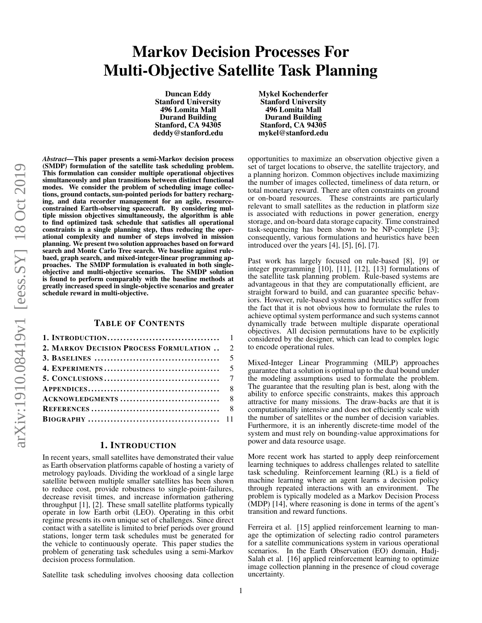# Markov Decision Processes For Multi-Objective Satellite Task Planning

Duncan Eddy Stanford University 496 Lomita Mall Durand Building Stanford, CA 94305 deddy@stanford.edu Mykel Kochenderfer Stanford University 496 Lomita Mall Durand Building Stanford, CA 94305 mykel@stanford.edu

*Abstract—*This paper presents a semi-Markov decision process (SMDP) formulation of the satellite task scheduling problem. This formulation can consider multiple operational objectives simultaneously and plan transitions between distinct functional modes. We consider the problem of scheduling image collections, ground contacts, sun-pointed periods for battery recharging, and data recorder management for an agile, resourceconstrained Earth-observing spacecraft. By considering multiple mission objectives simultaneously, the algorithm is able to find optimized task schedule that satisfies all operational constraints in a single planning step, thus reducing the operational complexity and number of steps involved in mission planning. We present two solution approaches based on forward search and Monte Carlo Tree search. We baseline against rulebaed, graph search, and mixed-integer-linear programming approaches. The SMDP formulation is evaluated in both singleobjective and multi-objective scenarios. The SMDP solution is found to perform comparably with the baseline methods at greatly increased speed in single-objective scenarios and greater schedule reward in multi-objective.

### TABLE OF CONTENTS

| 2. MARKOV DECISION PROCESS FORMULATION  2 |  |
|-------------------------------------------|--|
|                                           |  |
|                                           |  |
|                                           |  |
|                                           |  |
|                                           |  |
|                                           |  |
|                                           |  |

## 1. INTRODUCTION

<span id="page-0-0"></span>In recent years, small satellites have demonstrated their value as Earth observation platforms capable of hosting a variety of metrology payloads. Dividing the workload of a single large satellite between multiple smaller satellites has been shown to reduce cost, provide robustness to single-point-failures, decrease revisit times, and increase information gathering throughput [\[1\]](#page-7-2), [\[2\]](#page-7-3). These small satellite platforms typically operate in low Earth orbit (LEO). Operating in this orbit regime presents its own unique set of challenges. Since direct contact with a satellite is limited to brief periods over ground stations, longer term task schedules must be generated for the vehicle to continuously operate. This paper studies the problem of generating task schedules using a semi-Markov decision process formulation.

Satellite task scheduling involves choosing data collection

opportunities to maximize an observation objective given a set of target locations to observe, the satellite trajectory, and a planning horizon. Common objectives include maximizing the number of images collected, timeliness of data return, or total monetary reward. There are often constraints on ground or on-board resources. These constraints are particularly relevant to small satellites as the reduction in platform size is associated with reductions in power generation, energy storage, and on-board data storage capacity. Time constrained task-sequencing has been shown to be NP-complete [\[3\]](#page-7-4); consequently, various formulations and heuristics have been introduced over the years [\[4\]](#page-7-5), [\[5\]](#page-7-6), [\[6\]](#page-7-7), [\[7\]](#page-7-8).

Past work has largely focused on rule-based [\[8\]](#page-7-9), [\[9\]](#page-7-10) or integer programming [\[10\]](#page-7-11), [\[11\]](#page-7-12), [\[12\]](#page-7-13), [\[13\]](#page-7-14) formulations of the satellite task planning problem. Rule-based systems are advantageous in that they are computationally efficient, are straight forward to build, and can guarantee specific behaviors. However, rule-based systems and heuristics suffer from the fact that it is not obvious how to formulate the rules to achieve optimal system performance and such systems cannot dynamically trade between multiple disparate operational objectives. All decision permutations have to be explicitly considered by the designer, which can lead to complex logic to encode operational rules.

Mixed-Integer Linear Programming (MILP) approaches guarantee that a solution is optimal up to the dual bound under the modeling assumptions used to formulate the problem. The guarantee that the resulting plan is best, along with the ability to enforce specific constraints, makes this approach attractive for many missions. The draw-backs are that it is computationally intensive and does not efficiently scale with the number of satellites or the number of decision variables. Furthermore, it is an inherently discrete-time model of the system and must rely on bounding-value approximations for power and data resource usage.

More recent work has started to apply deep reinforcement learning techniques to address challenges related to satellite task scheduling. Reinforcement learning (RL) is a field of machine learning where an agent learns a decision policy through repeated interactions with an environment. The problem is typically modeled as a Markov Decision Process (MDP) [\[14\]](#page-7-15), where reasoning is done in terms of the agent's transition and reward functions.

Ferreira et al. [\[15\]](#page-7-16) applied reinforcement learning to manage the optimization of selecting radio control parameters for a satellite communications system in various operational scenarios. In the Earth Observation (EO) domain, Hadj-Salah et al. [\[16\]](#page-10-1) applied reinforcement learning to optimize image collection planning in the presence of cloud coverage uncertainty.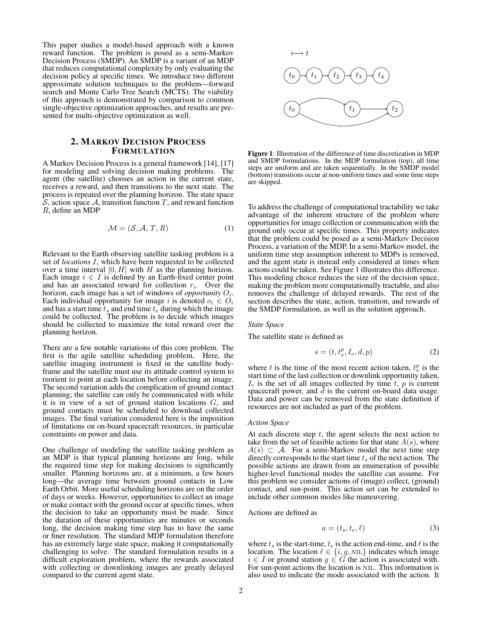This paper studies a model-based approach with a known reward function. The problem is posed as a semi-Markov Decision Process (SMDP). An SMDP is a variant of an MDP that reduces computational complexity by only evaluating the decision policy at specific times. We introduce two different approximate solution techniques to the problem—forward search and Monte Carlo Tree Search (MCTS). The viability of this approach is demonstrated by comparison to common single-objective optimization approaches, and results are presented for multi-objective optimization as well.

# <span id="page-1-0"></span>2. MARKOV DECISION PROCESS FORMULATION

A Markov Decision Process is a general framework [\[14\]](#page-7-15), [\[17\]](#page-10-2) for modeling and solving decision making problems. The agent (the satellite) chooses an action in the current state, receives a reward, and then transitions to the next state. The process is repeated over the planning horizon. The state space  $\mathcal S$ , action space  $\mathcal A$ , transition function T, and reward function R, define an MDP

$$
\mathcal{M} = (\mathcal{S}, \mathcal{A}, T, R) \tag{1}
$$

Relevant to the Earth observing satellite tasking problem is a set of *locations* I, which have been requested to be collected over a time interval  $[0, H]$  with H as the planning horizon. Each image  $i \in I$  is defined by an Earth-fixed center point and has an associated reward for collection  $r_i$ . Over the horizon, each image has a set of windows of *opportunity*  $O_i$ . Each individual opportunity for image i is denoted  $o_i \in O_i$ and has a start time  $t_s$  and end time  $t_e$  during which the image could be collected. The problem is to decide which images should be collected to maximize the total reward over the planning horizon.

There are a few notable variations of this core problem. The first is the agile satellite scheduling problem. Here, the satellite imaging instrument is fixed in the satellite bodyframe and the satellite must use its attitude control system to reorient to point at each location before collecting an image. The second variation adds the complication of ground contact planning; the satellite can only be communicated with while it is in view of a set of ground station locations  $G$ , and ground contacts must be scheduled to download collected images. The final variation considered here is the imposition of limitations on on-board spacecraft resources, in particular constraints on power and data.

One challenge of modeling the satellite tasking problem as an MDP is that typical planning horizons are long, while the required time step for making decisions is significantly smaller. Planning horizons are, at a minimum, a few hours long—the average time between ground contacts in Low Earth Orbit. More useful scheduling horizons are on the order of days or weeks. However, opportunities to collect an image or make contact with the ground occur at specific times, when the decision to take an opportunity must be made. Since the duration of these opportunities are minutes or seconds long, the decision making time step has to have the same or finer resolution. The standard MDP formulation therefore has an extremely large state space, making it computationally challenging to solve. The standard formulation results in a difficult exploration problem, where the rewards associated with collecting or downlinking images are greatly delayed compared to the current agent state.

<span id="page-1-1"></span>

Figure 1: Illustration of the difference of time discretization in MDP and SMDP formulations. In the MDP formulation (top), all time steps are uniform and are taken sequentially. In the SMDP model (bottom) transitions occur at non-uniform times and some time steps are skipped.

To address the challenge of computational tractability we take advantage of the inherent structure of the problem where opportunities for image collection or communication with the ground only occur at specific times. This property indicates that the problem could be posed as a semi-Markov Decision Process, a variation of the MDP. In a semi-Markov model, the uniform time step assumption inherent to MDPs is removed, and the agent state is instead only considered at times when actions could be taken. See Figure [1](#page-1-1) illustrates this difference. This modeling choice reduces the size of the decision space, making the problem more computationally tractable, and also removes the challenge of delayed rewards. The rest of the section describes the state, action, transition, and rewards of the SMDP formulation, as well as the solution approach.

#### *State Space*

The satellite state is defined as

$$
s = (t, t_s^p, I_c, d, p) \tag{2}
$$

where t is the time of the most recent action taken,  $t_s^p$  is the start time of the last collection or downlink opportunity taken,  $I_c$  is the set of all images collected by time t, p is current spacecraft power, and  $d$  is the current on-board data usage. Data and power can be removed from the state definition if resources are not included as part of the problem.

#### *Action Space*

At each discrete step  $t$ , the agent selects the next action to take from the set of feasible actions for that state  $A(s)$ , where  $A(s) \subset A$ . For a semi-Markov model the next time step directly corresponds to the start time  $t_s$  of the next action. The possible actions are drawn from an enumeration of possible higher-level functional modes the satellite can assume. For this problem we consider actions of (image) collect, (ground) contact, and sun-point. This action set can be extended to include other common modes like maneuvering.

Actions are defined as

$$
a = (t_s, t_e, \ell) \tag{3}
$$

where  $t_s$  is the start-time,  $t_e$  is the action end-time, and  $\ell$  is the location. The location  $\ell \in \{i, g, \text{NIL}\}\$  indicates which image  $i \in I$  or ground station  $g \in G$  the action is associated with. For sun-point actions the location is NIL. This information is also used to indicate the mode associated with the action. It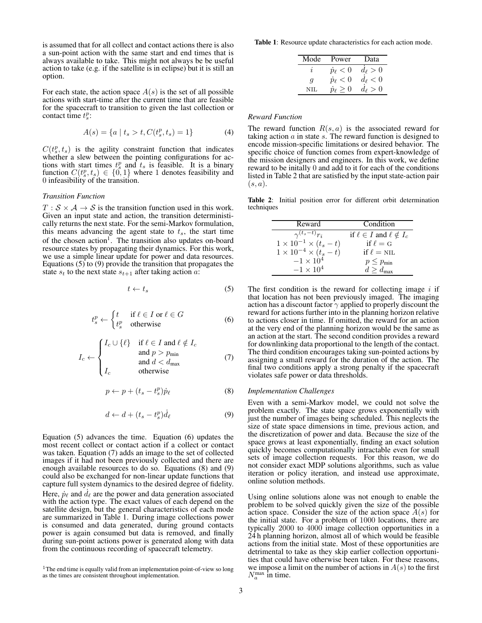is assumed that for all collect and contact actions there is also a sun-point action with the same start and end times that is always available to take. This might not always be be useful action to take (e.g. if the satellite is in eclipse) but it is still an option.

For each state, the action space  $A(s)$  is the set of all possible actions with start-time after the current time that are feasible for the spacecraft to transition to given the last collection or contact time  $t_s^p$ :

$$
A(s) = \{a \mid t_s > t, C(t_s^p, t_s) = 1\}
$$
 (4)

 $C(t_s^p, t_s)$  is the agility constraint function that indicates whether a slew between the pointing configurations for actions with start times  $t_s^p$  and  $t_s$  is feasible. It is a binary function  $C(t_s^p, t_s) \in \{0, 1\}$  where 1 denotes feasibility and 0 infeasibility of the transition.

#### *Transition Function*

 $T : \mathcal{S} \times \mathcal{A} \rightarrow \mathcal{S}$  is the transition function used in this work. Given an input state and action, the transition deterministically returns the next state. For the semi-Markov formulation, this means advancing the agent state to  $t<sub>s</sub>$ , the start time of the chosen action<sup>[1](#page-2-0)</sup>. The transition also updates on-board resource states by propagating their dynamics. For this work, we use a simple linear update for power and data resources. Equations  $(5)$  to  $(9)$  provide the transition that propagates the state  $s_t$  to the next state  $s_{t+1}$  after taking action a:

$$
t \leftarrow t_s \tag{5}
$$

<span id="page-2-3"></span>
$$
t_s^p \leftarrow \begin{cases} t & \text{if } \ell \in I \text{ or } \ell \in G \\ t_s^p & \text{otherwise} \end{cases} \tag{6}
$$

<span id="page-2-5"></span><span id="page-2-4"></span>
$$
I_c \leftarrow \begin{cases} I_c \cup \{\ell\} & \text{if } \ell \in I \text{ and } \ell \notin I_c \\ & \text{and } p > p_{\text{min}} \\ & \text{and } d < d_{\text{max}} \\ I_c & \text{otherwise} \end{cases} \tag{7}
$$

$$
p \leftarrow p + (t_s - t_s^p)\dot{p}_\ell \tag{8}
$$

$$
d \leftarrow d + (t_s - t_s^p)\dot{d}_\ell \tag{9}
$$

<span id="page-2-2"></span>Equation [\(5\)](#page-2-1) advances the time. Equation [\(6\)](#page-2-3) updates the most recent collect or contact action if a collect or contact was taken. Equation [\(7\)](#page-2-4) adds an image to the set of collected images if it had not been previously collected and there are enough available resources to do so. Equations [\(8\)](#page-2-5) and [\(9\)](#page-2-2) could also be exchanged for non-linear update functions that capture full system dynamics to the desired degree of fidelity. Here,  $\dot{p}_{\ell}$  and  $d_{\ell}$  are the power and data generation associated with the action type. The exact values of each depend on the satellite design, but the general characteristics of each mode are summarized in Table [1.](#page-2-6) During image collections power is consumed and data generated, during ground contacts power is again consumed but data is removed, and finally during sun-point actions power is generated along with data from the continuous recording of spacecraft telemetry.

<span id="page-2-6"></span>Table 1: Resource update characteristics for each action mode.

| Mode | Power              | Data              |
|------|--------------------|-------------------|
|      | $p_{\ell} < 0$     | $d_{\ell}>0$      |
| q    | $\dot{p}_\ell < 0$ | $d_{\ell} < 0$    |
| NIJ. | $\geq 0$           | > 0<br>$d_{\ell}$ |

#### *Reward Function*

The reward function  $R(s, a)$  is the associated reward for taking action  $a$  in state  $s$ . The reward function is designed to encode mission-specific limitations or desired behavior. The specific choice of function comes from expert-knowledge of the mission designers and engineers. In this work, we define reward to be initally 0 and add to it for each of the conditions listed in Table [2](#page-2-7) that are satisfied by the input state-action pair  $(s, a)$ .

<span id="page-2-7"></span>Table 2: Initial position error for different orbit determination techniques

| Reward                              | Condition                             |
|-------------------------------------|---------------------------------------|
| $\gamma^{(t_s-t)}r_i$               | if $\ell \in I$ and $\ell \notin I_c$ |
| $1 \times 10^{-1} \times (t_s - t)$ | if $\ell = G$                         |
| $1 \times 10^{-4} \times (t_s - t)$ | if $\ell = \text{NIL}$                |
| $-1 \times 10^4$                    | $p \leq p_{\min}$                     |
| $-1 \times 10^4$                    | $d > d_{\text{max}}$                  |

<span id="page-2-1"></span>The first condition is the reward for collecting image  $i$  if that location has not been previously imaged. The imaging action has a discount factor  $\gamma$  applied to properly discount the reward for actions further into in the planning horizon relative to actions closer in time. If omitted, the reward for an action at the very end of the planning horizon would be the same as an action at the start. The second condition provides a reward for downlinking data proportional to the length of the contact. The third condition encourages taking sun-pointed actions by assigning a small reward for the duration of the action. The final two conditions apply a strong penalty if the spacecraft violates safe power or data thresholds.

#### *Implementation Challenges*

Even with a semi-Markov model, we could not solve the problem exactly. The state space grows exponentially with just the number of images being scheduled. This neglects the size of state space dimensions in time, previous action, and the discretization of power and data. Because the size of the space grows at least exponentially, finding an exact solution quickly becomes computationally intractable even for small sets of image collection requests. For this reason, we do not consider exact MDP solutions algorithms, such as value iteration or policy iteration, and instead use approximate, online solution methods.

Using online solutions alone was not enough to enable the problem to be solved quickly given the size of the possible action space. Consider the size of the action space  $A(s)$  for the initial state. For a problem of 1000 locations, there are typically 2000 to 4000 image collection opportunities in a 24 h planning horizon, almost all of which would be feasible actions from the initial state. Most of these opportunities are detrimental to take as they skip earlier collection opportunities that could have otherwise been taken. For these reasons, we impose a limit on the number of actions in  $A(s)$  to the first  $N_a^{\text{max}}$  in time.

<span id="page-2-0"></span> $1$ The end time is equally valid from an implementation point-of-view so long as the times are consistent throughout implementation.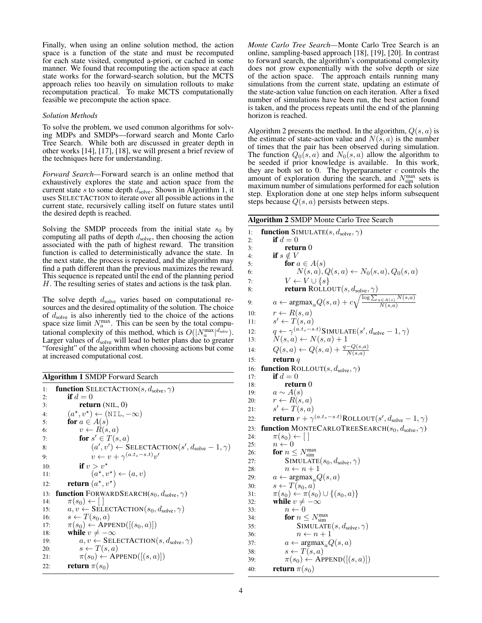Finally, when using an online solution method, the action space is a function of the state and must be recomputed for each state visited, computed a-priori, or cached in some manner. We found that recomputing the action space at each state works for the forward-search solution, but the MCTS approach relies too heavily on simulation rollouts to make recomputation practical. To make MCTS computationally feasible we precompute the action space.

#### *Solution Methods*

To solve the problem, we used common algorithms for solving MDPs and SMDPs—forward search and Monte Carlo Tree Search. While both are discussed in greater depth in other works [\[14\]](#page-7-15), [\[17\]](#page-10-2), [\[18\]](#page-10-3), we will present a brief review of the techniques here for understanding.

*Forward Search—*Forward search is an online method that exhaustively explores the state and action space from the current state s to some depth  $d_{\text{solve}}$ . Shown in Algorithm [1,](#page-3-0) it uses SELECTACTION to iterate over all possible actions in the current state, recursively calling itself on future states until the desired depth is reached.

Solving the SMDP proceeds from the initial state  $s_0$  by computing all paths of depth  $d_{\text{solve}}$ , then choosing the action associated with the path of highest reward. The transition function is called to deterministically advance the state. In the next state, the process is repeated, and the algorithm may find a path different than the previous maximizes the reward. This sequence is repeated until the end of the planning period H. The resulting series of states and actions is the task plan.

The solve depth  $d_{\text{solve}}$  varies based on computational resources and the desired optimality of the solution. The choice of  $d_{\text{solve}}$  is also inherently tied to the choice of the actions space size limit  $N_a^{\text{max}}$ . This can be seen by the total computational complexity of this method, which is  $O(|N_a^{\max}|^{d_{\text{solve}}})$ . Larger values of  $d_{\text{solve}}$  will lead to better plans due to greater "foresight" of the algorithm when choosing actions but come at increased computational cost.

<span id="page-3-0"></span>Algorithm 1 SMDP Forward Search

<span id="page-3-2"></span>

| 1:  | <b>function</b> SELECTACTION(s, $d_{\text{solve}}$ , $\gamma$ )         |
|-----|-------------------------------------------------------------------------|
| 2:  | if $d=0$                                                                |
| 3:  | return $(NIL, 0)$                                                       |
| 4:  | $(a^{\star}, v^{\star}) \leftarrow (NIL, -\infty)$                      |
| 5:  | for $a \in A(s)$                                                        |
| 6:  | $v \leftarrow R(s, a)$                                                  |
| 7:  | for $s' \in T(s,a)$                                                     |
| 8:  | $(a', v') \leftarrow$ SELECTACTION $(s', d_{\text{solve}} - 1, \gamma)$ |
| 9:  | $v \leftarrow v + \gamma^{(a.t_s - s.t)} v'$                            |
| 10: | if $v > v^*$                                                            |
| 11: | $(a^{\star}, v^{\star}) \leftarrow (a, v)$                              |
| 12: | <b>return</b> $(a^{\star}, v^{\star})$                                  |
| 13: | <b>function</b> FORWARDSEARCH( $s_0, d_{\text{solve}}, \gamma$ )        |
| 14: | $\pi(s_0) \leftarrow   \  $                                             |
| 15: | $a, v \leftarrow$ SELECTACTION( $s_0, d_{\text{solve}}, \gamma$ )       |
| 16: | $s \leftarrow T(s_0, a)$                                                |
| 17: | $\pi(s_0) \leftarrow \text{APPEND}([s_0, a)])$                          |
| 18: | while $v \neq -\infty$                                                  |
| 19: | $a, v \leftarrow$ SELECTACTION(s, $d_{\text{solve}}, \gamma$ )          |
| 20: | $s \leftarrow T(s, a)$                                                  |
| 21: | $\pi(s_0) \leftarrow \text{APPEND}([s, a)])$                            |
| 22: | <b>return</b> $\pi(s_0)$                                                |

*Monte Carlo Tree Search—*Monte Carlo Tree Search is an online, sampling-based approach [\[18\]](#page-10-3), [\[19\]](#page-10-4), [\[20\]](#page-10-5). In contrast to forward search, the algorithm's computational complexity does not grow exponentially with the solve depth or size of the action space. The approach entails running many simulations from the current state, updating an estimate of the state-action value function on each iteration. After a fixed number of simulations have been run, the best action found is taken, and the process repeats until the end of the planning horizon is reached.

Algorithm [2](#page-3-1) presents the method. In the algorithm,  $Q(s, a)$  is the estimate of state-action value and  $N(s, a)$  is the number of times that the pair has been observed during simulation. The function  $Q_0(s, a)$  and  $N_0(s, a)$  allow the algorithm to be seeded if prior knowledge is available. In this work, they are both set to 0. The hyperparameter  $c$  controls the amount of exploration during the search, and  $N_{\text{sim}}^{\text{max}}$  sets is maximum number of simulations performed for each solution step. Exploration done at one step helps inform subsequent steps because  $Q(s, a)$  persists between steps.

<span id="page-3-1"></span>

| <b>Algorithm 2 SMDP Monte Carlo Tree Search</b>                                                                                                                 |  |  |  |  |
|-----------------------------------------------------------------------------------------------------------------------------------------------------------------|--|--|--|--|
| function SIMULATE $(s, d_{\text{solve}}, \gamma)$<br>1:                                                                                                         |  |  |  |  |
| if $d=0$<br>2:                                                                                                                                                  |  |  |  |  |
| return 0<br>3:                                                                                                                                                  |  |  |  |  |
| if $s \notin V$<br>4:                                                                                                                                           |  |  |  |  |
| for $a \in A(s)$<br>5:                                                                                                                                          |  |  |  |  |
| $N(s, a), Q(s, a) \leftarrow N_0(s, a), Q_0(s, a)$<br>6:                                                                                                        |  |  |  |  |
| $V \leftarrow V \cup \{s\}$<br>7:                                                                                                                               |  |  |  |  |
| 8:                                                                                                                                                              |  |  |  |  |
| <b>return</b> ROLLOUT(s, $d_{\text{solve}}, \gamma$ )<br>$a \leftarrow \text{argmax}_a Q(s, a) + c \sqrt{\frac{\log \sum_{a \in A(s)} N(s, a)}{N(s, a)}}$<br>9: |  |  |  |  |
| $r \leftarrow R(s, a)$<br>10:                                                                                                                                   |  |  |  |  |
| $s' \leftarrow T(s, a)$<br>11:                                                                                                                                  |  |  |  |  |
| 12:                                                                                                                                                             |  |  |  |  |
| $q \leftarrow \gamma^{(a.t_s - s.t)}$ SIMULATE $(s', d_{\text{solve}} - 1, \gamma)$<br>$N(s, a) \leftarrow N(s, a) + 1$<br>13:                                  |  |  |  |  |
| $Q(s, a) \leftarrow Q(s, a) + \frac{q - Q(s, a)}{N(s, a)}$<br>14:                                                                                               |  |  |  |  |
| return $q$<br>15:                                                                                                                                               |  |  |  |  |
| <b>function</b> ROLLOUT(s, $d_{\text{solve}}$ , $\gamma$ )<br>16:                                                                                               |  |  |  |  |
| if $d=0$<br>17:                                                                                                                                                 |  |  |  |  |
| return <sub>0</sub><br>18:                                                                                                                                      |  |  |  |  |
| $a \sim A(s)$<br>19:                                                                                                                                            |  |  |  |  |
| $r \leftarrow R(s,a)$<br>20:                                                                                                                                    |  |  |  |  |
| $s' \leftarrow T(s, a)$<br>21:                                                                                                                                  |  |  |  |  |
| <b>return</b> $r + \gamma^{(a.t_s - s.t)}$ ROLLOUT $(s', d_{\text{solve}} - 1, \gamma)$<br>22:                                                                  |  |  |  |  |
| <b>function</b> MONTECARLOTREESEARCH( $s_0, d_{\text{solve}}, \gamma$ )<br>23:                                                                                  |  |  |  |  |
| $\pi(s_0) \leftarrow \lceil \cdot \rceil$<br>24:                                                                                                                |  |  |  |  |
| $n \leftarrow 0$<br>25:                                                                                                                                         |  |  |  |  |
| for $n \leq N_{\text{sim}}^{\text{max}}$<br>26:                                                                                                                 |  |  |  |  |
| SIMULATE $(s_0, d_{\text{solve}}, \gamma)$<br>27:                                                                                                               |  |  |  |  |
| $n \leftarrow n + 1$<br>28:                                                                                                                                     |  |  |  |  |
| $a \leftarrow \text{argmax}_a Q(s, a)$<br>29:                                                                                                                   |  |  |  |  |
| $s \leftarrow T(s_0, a)$<br>30:                                                                                                                                 |  |  |  |  |
| $\pi(s_0) \leftarrow \pi(s_0) \cup \{(s_0, a)\}\$<br>31:                                                                                                        |  |  |  |  |
| while $v \neq -\infty$<br>32:<br>$n \leftarrow 0$<br>33:                                                                                                        |  |  |  |  |
| for $n \leq N_{\text{sim}}^{\text{max}}$<br>34:                                                                                                                 |  |  |  |  |
| SIMULATE $(s, d_{\text{solve}}, \gamma)$<br>35:                                                                                                                 |  |  |  |  |
| $n \leftarrow n + 1$<br>36:                                                                                                                                     |  |  |  |  |
| $a \leftarrow \text{argmax}_a Q(s, a)$<br>37:                                                                                                                   |  |  |  |  |
| $s \leftarrow T(s, a)$<br>38:                                                                                                                                   |  |  |  |  |
| $\pi(s_0) \leftarrow$ APPEND $([ (s, a) ])$<br>39:                                                                                                              |  |  |  |  |
| <b>return</b> $\pi(s_0)$<br>40:                                                                                                                                 |  |  |  |  |
|                                                                                                                                                                 |  |  |  |  |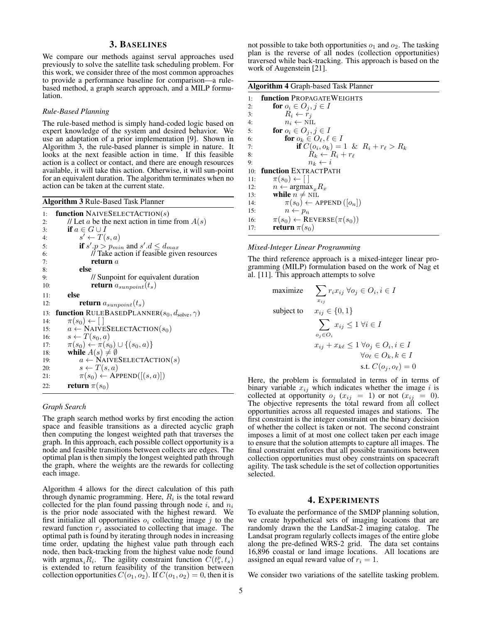# 3. BASELINES

<span id="page-4-0"></span>We compare our methods against serval approaches used previously to solve the satellite task scheduling problem. For this work, we consider three of the most common approaches to provide a performance baseline for comparison—a rulebased method, a graph search approach, and a MILP formulation.

#### *Rule-Based Planning*

The rule-based method is simply hand-coded logic based on expert knowledge of the system and desired behavior. We use an adaptation of a prior implementation [\[9\]](#page-7-10). Shown in Algorithm [3,](#page-4-2) the rule-based planner is simple in nature. It looks at the next feasible action in time. If this feasible action is a collect or contact, and there are enough resources available, it will take this action. Otherwise, it will sun-point for an equivalent duration. The algorithm terminates when no action can be taken at the current state.

<span id="page-4-2"></span>

| <b>Algorithm 3 Rule-Based Task Planner</b> |  |
|--------------------------------------------|--|
|--------------------------------------------|--|

| 1:  | <b>function</b> NAIVESELECTACTION(s)                                |
|-----|---------------------------------------------------------------------|
| 2:  | // Let a be the next action in time from $A(s)$                     |
| 3:  | if $a \in G \cup I$                                                 |
| 4:  | $s' \leftarrow T(s, a)$                                             |
| 5:  | if $s'.p > p_{min}$ and $s'.d \leq d_{max}$                         |
| 6:  | // Take action if feasible given resources                          |
| 7:  | return $a$                                                          |
| 8:  | else                                                                |
| 9:  | // Sunpoint for equivalent duration                                 |
| 10: | <b>return</b> $a_{sunpoint}(t_s)$                                   |
| 11: | else                                                                |
| 12: | <b>return</b> $a_{\text{sumpoint}}(t_s)$                            |
| 13: | <b>function</b> RULEBASEDPLANNER( $s_0, d_{\text{solve}}, \gamma$ ) |
| 14: | $\pi(s_0) \leftarrow   \  $                                         |
| 15: | $a \leftarrow$ NAIVESELECTACTION( $s_0$ )                           |
| 16: | $s \leftarrow T(s_0, a)$                                            |
| 17: | $\pi(s_0) \leftarrow \pi(s_0) \cup \{(s_0, a)\}\$                   |
| 18: | while $A(s) \neq \emptyset$                                         |
| 19: | $a \leftarrow$ NAIVESELECTACTION(s)                                 |
| 20: | $s \leftarrow T(s, a)$                                              |
| 21: | $\pi(s_0) \leftarrow$ APPEND([ $(s, a)$ ])                          |
| 22: | <b>return</b> $\pi(s_0)$                                            |

#### *Graph Search*

The graph search method works by first encoding the action space and feasible transitions as a directed acyclic graph then computing the longest weighted path that traverses the graph. In this approach, each possible collect opportunity is a node and feasible transitions between collects are edges. The optimal plan is then simply the longest weighted path through the graph, where the weights are the rewards for collecting each image.

Algorithm [4](#page-3-2) allows for the direct calculation of this path through dynamic programming. Here,  $R_i$  is the total reward collected for the plan found passing through node  $i$ , and  $n_i$ is the prior node associated with the highest reward. We first initialize all opportunities  $o_i$  collecting image j to the reward function  $r_j$  associated to collecting that image. The optimal path is found by iterating through nodes in increasing time order, updating the highest value path through each node, then back-tracking from the highest value node found with  $\argmax_i R_i$ . The agility constraint function  $C(t_s^p, t_s)$ is extended to return feasibility of the transition between collection opportunities  $C(o_1, o_2)$ . If  $C(o_1, o_2) = 0$ , then it is not possible to take both opportunities  $o_1$  and  $o_2$ . The tasking plan is the reverse of all nodes (collection opportunities) traversed while back-tracking. This approach is based on the work of Augenstein [\[21\]](#page-10-6).

|     | <b>Algorithm 4 Graph-based Task Planner</b> |  |  |  |  |
|-----|---------------------------------------------|--|--|--|--|
| 1:  | <b>function PropagateWeights</b>            |  |  |  |  |
| 2:  | for $o_i \in O_j, j \in I$                  |  |  |  |  |
| 3:  | $R_i \leftarrow r_i$                        |  |  |  |  |
| 4:  | $n_i \leftarrow \text{NIL}$                 |  |  |  |  |
| 5:  | for $o_i \in O_j, j \in I$                  |  |  |  |  |
| 6:  | for $o_k \in O_\ell, \ell \in I$            |  |  |  |  |
| 7:  | if $C(o_i, o_k) = 1 \& R_i + r_\ell > R_k$  |  |  |  |  |
| 8:  | $R_k \leftarrow R_i + r_{\ell}$             |  |  |  |  |
| 9:  | $n_k \leftarrow i$                          |  |  |  |  |
| 10: | <b>function</b> EXTRACTPATH                 |  |  |  |  |
| 11: | $\pi(s_0) \leftarrow \lceil \rceil$         |  |  |  |  |
| 12: | $n \leftarrow \text{argmax}_{x} R_x$        |  |  |  |  |
| 13: | while $n \neq \text{NIL}$                   |  |  |  |  |
| 14: | $\pi(s_0) \leftarrow$ APPEND $([o_n])$      |  |  |  |  |
| 15: | $n \leftarrow p_n$                          |  |  |  |  |
| 16: | $\pi(s_0) \leftarrow$ REVERSE $(\pi(s_0))$  |  |  |  |  |
| 17: | <b>return</b> $\pi(s_0)$                    |  |  |  |  |

#### *Mixed-Integer Linear Programming*

The third reference approach is a mixed-integer linear programming (MILP) formulation based on the work of Nag et al. [\[11\]](#page-7-12). This approach attempts to solve

$$
\begin{aligned}\n\text{maximize} & \sum_{x_{ij}} r_i x_{ij} \ \forall o_j \in O_i, i \in I \\
\text{subject to} & x_{ij} \in \{0, 1\} \\
& \sum_{o_j \in O_i} x_{ij} \le 1 \ \forall i \in I \\
& x_{ij} + x_{k\ell} \le 1 \ \forall o_j \in O_i, i \in I \\
& \forall o_\ell \in O_k, k \in I \\
& \text{s.t. } C(o_j, o_\ell) = 0\n\end{aligned}
$$

Here, the problem is formulated in terms of in terms of binary variable  $x_{ij}$  which indicates whether the image i is collected at opportunity  $o_j$  ( $x_{ij} = 1$ ) or not ( $x_{ij} = 0$ ). The objective represents the total reward from all collect opportunities across all requested images and stations. The first constraint is the integer constraint on the binary decision of whether the collect is taken or not. The second constraint imposes a limit of at most one collect taken per each image to ensure that the solution attempts to capture all images. The final constraint enforces that all possible transitions between collection opportunities must obey constraints on spacecraft agility. The task schedule is the set of collection opportunities selected.

#### 4. EXPERIMENTS

<span id="page-4-1"></span>To evaluate the performance of the SMDP planning solution, we create hypothetical sets of imaging locations that are randomly drawn the the LandSat-2 imaging catalog. The Landsat program regularly collects images of the entire globe along the pre-defined WRS-2 grid. The data set contains 16,896 coastal or land image locations. All locations are assigned an equal reward value of  $r_i = 1$ .

We consider two variations of the satellite tasking problem.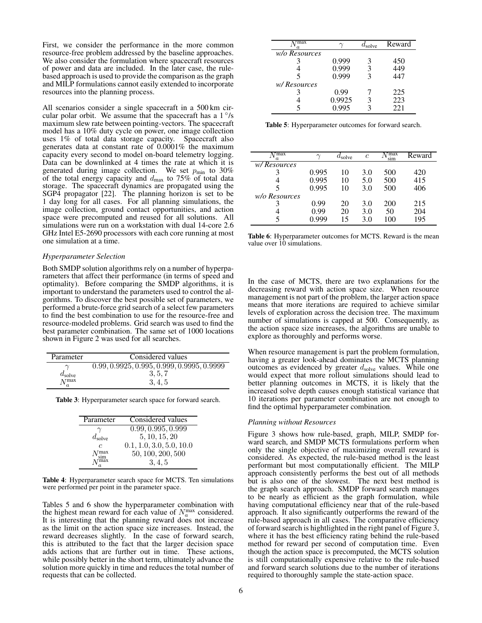First, we consider the performance in the more common resource-free problem addressed by the baseline approaches. We also consider the formulation where spacecraft resources of power and data are included. In the later case, the rulebased approach is used to provide the comparison as the graph and MILP formulations cannot easily extended to incorporate resources into the planning process.

All scenarios consider a single spacecraft in a 500 km circular polar orbit. We assume that the spacecraft has a  $1^{\circ}/s$ maximum slew rate between pointing-vectors. The spacecraft model has a 10% duty cycle on power, one image collection uses 1% of total data storage capacity. Spacecraft also generates data at constant rate of  $0.0001\%$  the maximum capacity every second to model on-board telemetry logging. Data can be downlinked at 4 times the rate at which it is generated during image collection. We set  $p_{\text{min}}$  to 30% of the total energy capacity and  $d_{\text{max}}$  to 75% of total data storage. The spacecraft dynamics are propagated using the SGP4 propagator [\[22\]](#page-10-7). The planning horizon is set to be 1 day long for all cases. For all planning simulations, the image collection, ground contact opportunities, and action space were precomputed and reused for all solutions. All simulations were run on a workstation with dual 14-core 2.6 GHz Intel E5-2690 processors with each core running at most one simulation at a time.

#### *Hyperparameter Selection*

Both SMDP solution algorithms rely on a number of hyperparameters that affect their performance (in terms of speed and optimality). Before comparing the SMDP algorithms, it is important to understand the parameters used to control the algorithms. To discover the best possible set of parameters, we performed a brute-force grid search of a select few parameters to find the best combination to use for the resource-free and resource-modeled problems. Grid search was used to find the best parameter combination. The same set of 1000 locations shown in Figure [2](#page-6-1) was used for all searches.

| Parameter          | Considered values                            |
|--------------------|----------------------------------------------|
|                    | $0.99, 0.9925, 0.995, 0.999, 0.9995, 0.9999$ |
| $d_{\text{solve}}$ | 3, 5, 7                                      |
| $N_a^{\max}$       | 3.4.5                                        |

Table 3: Hyperparameter search space for forward search.

| Parameter                     | Considered values        |
|-------------------------------|--------------------------|
|                               | (0.99, 0.995, 0.999)     |
| $d_{\text{solve}}$            | 5, 10, 15, 20            |
| $\epsilon$                    | 0.1, 1.0, 3.0, 5.0, 10.0 |
| $N_{\text{sim}}^{\text{max}}$ | 50, 100, 200, 500        |
| max:                          | 3, 4, 5                  |

Table 4: Hyperparameter search space for MCTS. Ten simulations were performed per point in the parameter space.

Tables [5](#page-5-0) and [6](#page-5-1) show the hyperparameter combination with the highest mean reward for each value of  $N_a^{\text{max}}$  considered. It is interesting that the planning reward does not increase as the limit on the action space size increases. Instead, the reward decreases slightly. In the case of forward search, this is attributed to the fact that the larger decision space adds actions that are further out in time. These actions, while possibly better in the short term, ultimately advance the solution more quickly in time and reduces the total number of requests that can be collected.

<span id="page-5-0"></span>

| max<br>a.     |        | $l_{\rm solve}$ | Reward |
|---------------|--------|-----------------|--------|
| w/o Resources |        |                 |        |
|               | 0.999  | 3               | 450    |
|               | 0.999  | 3               | 449    |
| 5             | 0.999  |                 | 447    |
| w/Resources   |        |                 |        |
|               | 0.99   |                 | 225    |
|               | 0.9925 |                 | 223    |
|               | 0.995  |                 | 22.1   |

Table 5: Hyperparameter outcomes for forward search.

<span id="page-5-1"></span>

| ⊺max<br>a.    | $\sim$ | $a_{\rm solve}$ | $\mathfrak c$ | max:<br>sim | Reward |
|---------------|--------|-----------------|---------------|-------------|--------|
| w/Resources   |        |                 |               |             |        |
|               | 0.995  | 10              | 3.0           | 500         | 420    |
|               | 0.995  | 10              | 5.0           | 500         | 415    |
| 5             | 0.995  | 10              | 3.0           | 500         | 406    |
| w/o Resources |        |                 |               |             |        |
|               | 0.99   | 20              | 3.0           | 200         | 215    |
|               | 0.99   | 20              | 3.0           | 50          | 204    |
|               | N 999  | 15              | 3.0           | 100         | 195    |

Table 6: Hyperparameter outcomes for MCTS. Reward is the mean value over 10 simulations.

In the case of MCTS, there are two explanations for the decreasing reward with action space size. When resource management is not part of the problem, the larger action space means that more iterations are required to achieve similar levels of exploration across the decision tree. The maximum number of simulations is capped at 500. Consequently, as the action space size increases, the algorithms are unable to explore as thoroughly and performs worse.

When resource management is part the problem formulation, having a greater look-ahead dominates the MCTS planning outcomes as evidenced by greater  $d_{\text{solve}}$  values. While one would expect that more rollout simulations should lead to better planning outcomes in MCTS, it is likely that the increased solve depth causes enough statistical variance that 10 iterations per parameter combination are not enough to find the optimal hyperparameter combination.

#### *Planning without Resources*

Figure [3](#page-6-2) shows how rule-based, graph, MILP, SMDP forward search, and SMDP MCTS formulations perform when only the single objective of maximizing overall reward is considered. As expected, the rule-based method is the least performant but most computationally efficient. The MILP approach consistently performs the best out of all methods but is also one of the slowest. The next best method is the graph search approach. SMDP forward search manages to be nearly as efficient as the graph formulation, while having computational efficiency near that of the rule-based approach. It also significantly outperforms the reward of the rule-based approach in all cases. The comparative efficiency of forward search is hightlighted in the right panel of Figure [3,](#page-6-2) where it has the best efficiency rating behind the rule-based method for reward per second of computation time. Even though the action space is precomputed, the MCTS solution is still computationally expensive relative to the rule-based and forward search solutions due to the number of iterations required to thoroughly sample the state-action space.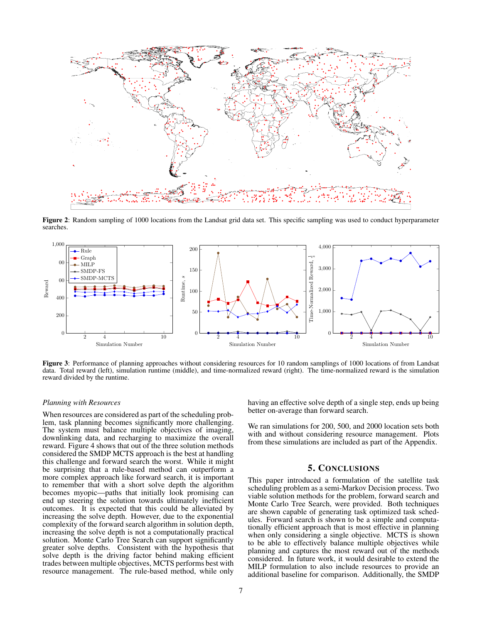<span id="page-6-1"></span>

Figure 2: Random sampling of 1000 locations from the Landsat grid data set. This specific sampling was used to conduct hyperparameter searches.

<span id="page-6-2"></span>

Figure 3: Performance of planning approaches without considering resources for 10 random samplings of 1000 locations of from Landsat data. Total reward (left), simulation runtime (middle), and time-normalized reward (right). The time-normalized reward is the simulation reward divided by the runtime.

### *Planning with Resources*

When resources are considered as part of the scheduling problem, task planning becomes significantly more challenging. The system must balance multiple objectives of imaging, downlinking data, and recharging to maximize the overall reward. Figure [4](#page-7-17) shows that out of the three solution methods considered the SMDP MCTS approach is the best at handling this challenge and forward search the worst. While it might be surprising that a rule-based method can outperform a more complex approach like forward search, it is important to remember that with a short solve depth the algorithm becomes myopic—paths that initially look promising can end up steering the solution towards ultimately inefficient outcomes. It is expected that this could be alleviated by increasing the solve depth. However, due to the exponential complexity of the forward search algorithm in solution depth, increasing the solve depth is not a computationally practical solution. Monte Carlo Tree Search can support significantly greater solve depths. Consistent with the hypothesis that solve depth is the driving factor behind making efficient trades between multiple objectives, MCTS performs best with resource management. The rule-based method, while only

having an effective solve depth of a single step, ends up being better on-average than forward search.

We ran simulations for 200, 500, and 2000 location sets both with and without considering resource management. Plots from these simulations are included as part of the Appendix.

#### 5. CONCLUSIONS

<span id="page-6-0"></span>This paper introduced a formulation of the satellite task scheduling problem as a semi-Markov Decision process. Two viable solution methods for the problem, forward search and Monte Carlo Tree Search, were provided. Both techniques are shown capable of generating task optimized task schedules. Forward search is shown to be a simple and computationally efficient approach that is most effective in planning when only considering a single objective. MCTS is shown to be able to effectively balance multiple objectives while planning and captures the most reward out of the methods considered. In future work, it would desirable to extend the MILP formulation to also include resources to provide an additional baseline for comparison. Additionally, the SMDP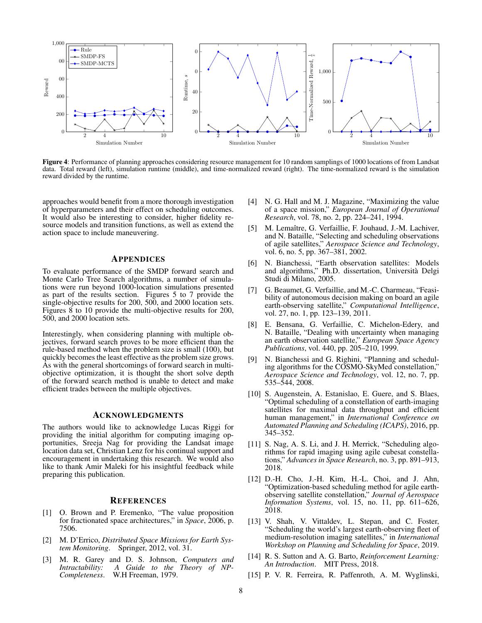<span id="page-7-17"></span>

Figure 4: Performance of planning approaches considering resource management for 10 random samplings of 1000 locations of from Landsat data. Total reward (left), simulation runtime (middle), and time-normalized reward (right). The time-normalized reward is the simulation reward divided by the runtime.

approaches would benefit from a more thorough investigation of hyperparameters and their effect on scheduling outcomes. It would also be interesting to consider, higher fidelity resource models and transition functions, as well as extend the action space to include maneuvering.

#### APPENDICES

To evaluate performance of the SMDP forward search and Monte Carlo Tree Search algorithms, a number of simulations were run beyond 1000-location simulations presented as part of the results section. Figures [5](#page-8-0) to [7](#page-8-1) provide the single-objective results for 200, 500, and 2000 location sets. Figures [8](#page-9-0) to [10](#page-9-1) provide the multi-objective results for 200, 500, and 2000 location sets.

Interestingly, when considering planning with multiple objectives, forward search proves to be more efficient than the rule-based method when the problem size is small (100), but quickly becomes the least effective as the problem size grows. As with the general shortcomings of forward search in multiobjective optimization, it is thought the short solve depth of the forward search method is unable to detect and make efficient trades between the multiple objectives.

# <span id="page-7-0"></span>ACKNOWLEDGMENTS

The authors would like to acknowledge Lucas Riggi for providing the initial algorithm for computing imaging opportunities, Sreeja Nag for providing the Landsat image location data set, Christian Lenz for his continual support and encouragement in undertaking this research. We would also like to thank Amir Maleki for his insightful feedback while preparing this publication.

#### <span id="page-7-1"></span>**REFERENCES**

- <span id="page-7-2"></span>[1] O. Brown and P. Eremenko, "The value proposition for fractionated space architectures," in *Space*, 2006, p. 7506.
- <span id="page-7-3"></span>[2] M. D'Errico, *Distributed Space Missions for Earth System Monitoring*. Springer, 2012, vol. 31.
- <span id="page-7-4"></span>[3] M. R. Garey and D. S. Johnson, *Computers and Intractability: A Guide to the Theory of NP-Completeness*. W.H Freeman, 1979.
- <span id="page-7-5"></span>[4] N. G. Hall and M. J. Magazine, "Maximizing the value of a space mission," *European Journal of Operational Research*, vol. 78, no. 2, pp. 224–241, 1994.
- <span id="page-7-6"></span>[5] M. Lemaître, G. Verfaillie, F. Jouhaud, J.-M. Lachiver, and N. Bataille, "Selecting and scheduling observations of agile satellites," *Aerospace Science and Technology*, vol. 6, no. 5, pp. 367–381, 2002.
- <span id="page-7-7"></span>[6] N. Bianchessi, "Earth observation satellites: Models and algorithms," Ph.D. dissertation, Università Delgi Studi di Milano, 2005.
- <span id="page-7-8"></span>[7] G. Beaumet, G. Verfaillie, and M.-C. Charmeau, "Feasibility of autonomous decision making on board an agile earth-observing satellite," *Computational Intelligence*, vol. 27, no. 1, pp. 123–139, 2011.
- <span id="page-7-9"></span>[8] E. Bensana, G. Verfaillie, C. Michelon-Edery, and N. Bataille, "Dealing with uncertainty when managing an earth observation satellite," *European Space Agency Publications*, vol. 440, pp. 205–210, 1999.
- <span id="page-7-10"></span>[9] N. Bianchessi and G. Righini, "Planning and scheduling algorithms for the COSMO-SkyMed constellation," *Aerospace Science and Technology*, vol. 12, no. 7, pp. 535–544, 2008.
- <span id="page-7-11"></span>[10] S. Augenstein, A. Estanislao, E. Guere, and S. Blaes, "Optimal scheduling of a constellation of earth-imaging satellites for maximal data throughput and efficient human management," in *International Conference on Automated Planning and Scheduling (ICAPS)*, 2016, pp. 345–352.
- <span id="page-7-12"></span>[11] S. Nag, A. S. Li, and J. H. Merrick, "Scheduling algorithms for rapid imaging using agile cubesat constellations," *Advances in Space Research*, no. 3, pp. 891–913, 2018.
- <span id="page-7-13"></span>[12] D.-H. Cho, J.-H. Kim, H.-L. Choi, and J. Ahn, "Optimization-based scheduling method for agile earthobserving satellite constellation," *Journal of Aerospace Information Systems*, vol. 15, no. 11, pp. 611–626, 2018.
- <span id="page-7-14"></span>[13] V. Shah, V. Vittaldev, L. Stepan, and C. Foster, "Scheduling the world's largest earth-observing fleet of medium-resolution imaging satellites," in *International Workshop on Planning and Scheduling for Space*, 2019.
- <span id="page-7-15"></span>[14] R. S. Sutton and A. G. Barto, *Reinforcement Learning: An Introduction*. MIT Press, 2018.
- <span id="page-7-16"></span>[15] P. V. R. Ferreira, R. Paffenroth, A. M. Wyglinski,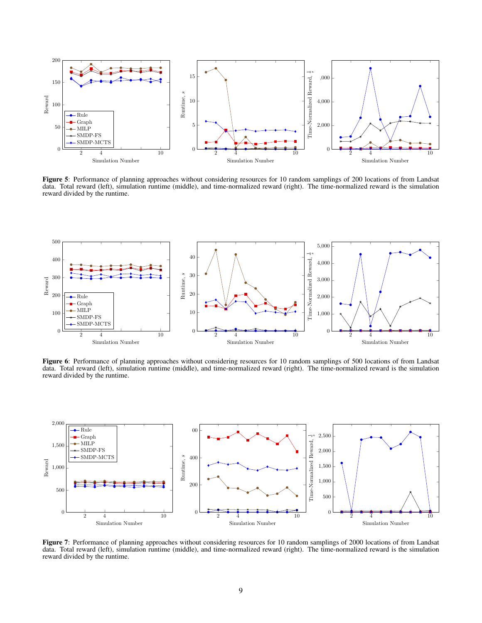<span id="page-8-0"></span>

Figure 5: Performance of planning approaches without considering resources for 10 random samplings of 200 locations of from Landsat data. Total reward (left), simulation runtime (middle), and time-normalized reward (right). The time-normalized reward is the simulation reward divided by the runtime.



Figure 6: Performance of planning approaches without considering resources for 10 random samplings of 500 locations of from Landsat data. Total reward (left), simulation runtime (middle), and time-normalized reward (right). The time-normalized reward is the simulation reward divided by the runtime.

<span id="page-8-1"></span>

Figure 7: Performance of planning approaches without considering resources for 10 random samplings of 2000 locations of from Landsat data. Total reward (left), simulation runtime (middle), and time-normalized reward (right). The time-normalized reward is the simulation reward divided by the runtime.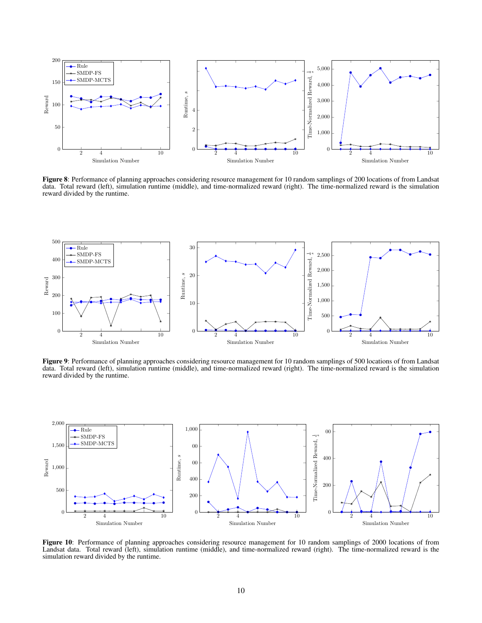<span id="page-9-0"></span>

Figure 8: Performance of planning approaches considering resource management for 10 random samplings of 200 locations of from Landsat data. Total reward (left), simulation runtime (middle), and time-normalized reward (right). The time-normalized reward is the simulation reward divided by the runtime.



Figure 9: Performance of planning approaches considering resource management for 10 random samplings of 500 locations of from Landsat data. Total reward (left), simulation runtime (middle), and time-normalized reward (right). The time-normalized reward is the simulation reward divided by the runtime.

<span id="page-9-1"></span>

Figure 10: Performance of planning approaches considering resource management for 10 random samplings of 2000 locations of from Landsat data. Total reward (left), simulation runtime (middle), and time-normalized reward (right). The time-normalized reward is the simulation reward divided by the runtime.